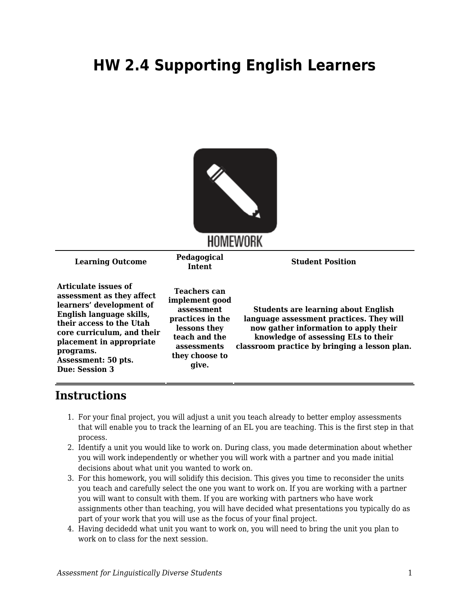## **HW 2.4 Supporting English Learners**



## **Instructions**

- 1. For your final project, you will adjust a unit you teach already to better employ assessments that will enable you to track the learning of an EL you are teaching. This is the first step in that process.
- 2. Identify a unit you would like to work on. During class, you made determination about whether you will work independently or whether you will work with a partner and you made initial decisions about what unit you wanted to work on.
- 3. For this homework, you will solidify this decision. This gives you time to reconsider the units you teach and carefully select the one you want to work on. If you are working with a partner you will want to consult with them. If you are working with partners who have work assignments other than teaching, you will have decided what presentations you typically do as part of your work that you will use as the focus of your final project.
- 4. Having decidedd what unit you want to work on, you will need to bring the unit you plan to work on to class for the next session.